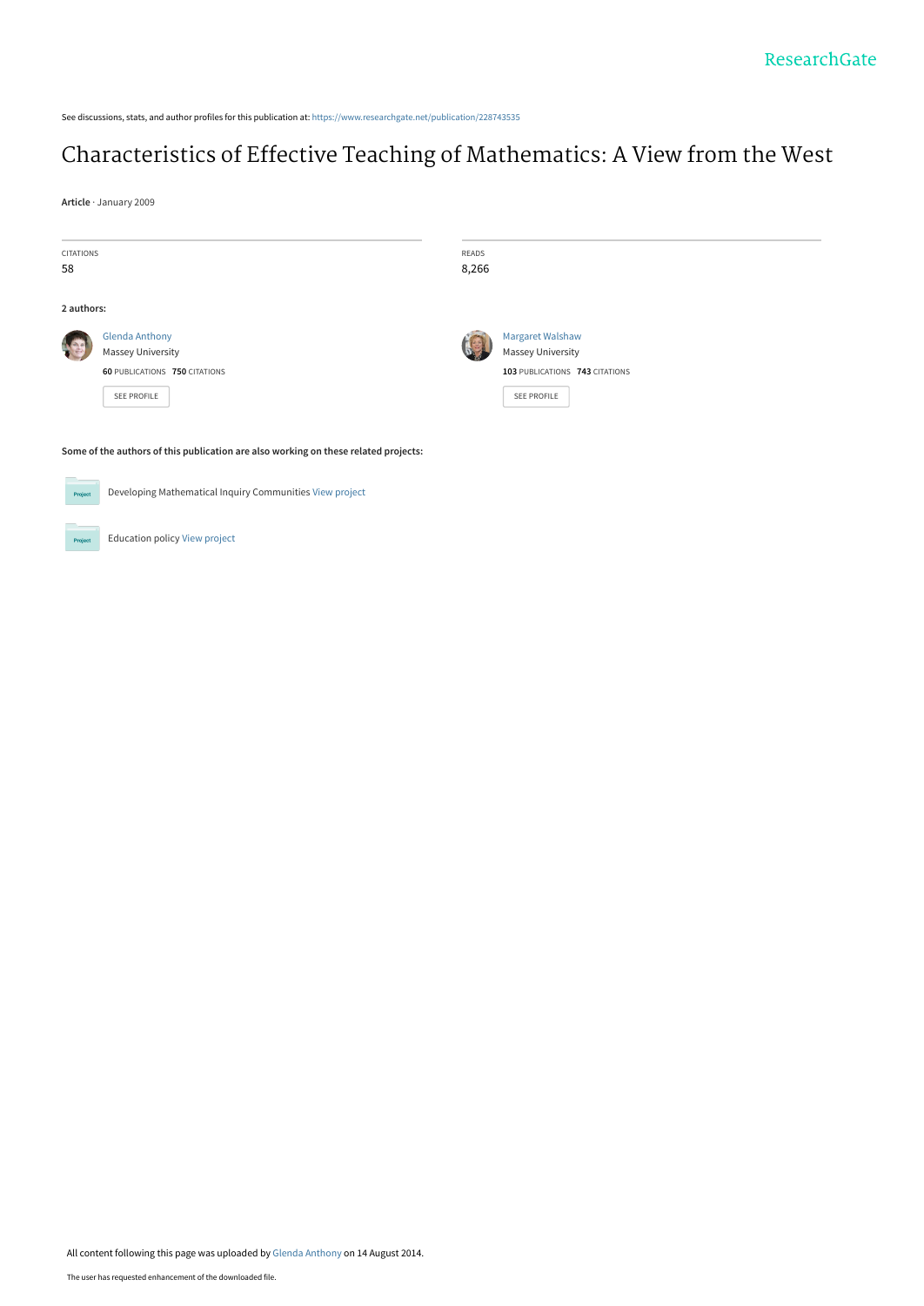See discussions, stats, and author profiles for this publication at: [https://www.researchgate.net/publication/228743535](https://www.researchgate.net/publication/228743535_Characteristics_of_Effective_Teaching_of_Mathematics_A_View_from_the_West?enrichId=rgreq-dfdd71d0973b0c4458ceb0edd58e59d5-XXX&enrichSource=Y292ZXJQYWdlOzIyODc0MzUzNTtBUzoxMzAxODY1MDI3NDIwMjFAMTQwODA1MDI4OTk3Mw%3D%3D&el=1_x_2&_esc=publicationCoverPdf)

## [Characteristics of Effective Teaching of Mathematics: A View from the West](https://www.researchgate.net/publication/228743535_Characteristics_of_Effective_Teaching_of_Mathematics_A_View_from_the_West?enrichId=rgreq-dfdd71d0973b0c4458ceb0edd58e59d5-XXX&enrichSource=Y292ZXJQYWdlOzIyODc0MzUzNTtBUzoxMzAxODY1MDI3NDIwMjFAMTQwODA1MDI4OTk3Mw%3D%3D&el=1_x_3&_esc=publicationCoverPdf)

**Article** · January 2009

| <b>CITATIONS</b><br>58                                                              |                                      | READS<br>8,266 |                                |
|-------------------------------------------------------------------------------------|--------------------------------------|----------------|--------------------------------|
| 2 authors:                                                                          |                                      |                |                                |
|                                                                                     | <b>Glenda Anthony</b>                |                | Margaret Walshaw               |
|                                                                                     | <b>Massey University</b>             |                | <b>Massey University</b>       |
|                                                                                     | <b>60 PUBLICATIONS 750 CITATIONS</b> |                | 103 PUBLICATIONS 743 CITATIONS |
|                                                                                     | <b>SEE PROFILE</b>                   |                | SEE PROFILE                    |
| Some of the authors of this publication are also working on these related projects: |                                      |                |                                |
|                                                                                     |                                      |                |                                |
| Developing Mathematical Inquiry Communities View project<br>Project                 |                                      |                |                                |

Education policy [View project](https://www.researchgate.net/project/Education-policy-2?enrichId=rgreq-dfdd71d0973b0c4458ceb0edd58e59d5-XXX&enrichSource=Y292ZXJQYWdlOzIyODc0MzUzNTtBUzoxMzAxODY1MDI3NDIwMjFAMTQwODA1MDI4OTk3Mw%3D%3D&el=1_x_9&_esc=publicationCoverPdf)

**Project** 

All content following this page was uploaded by [Glenda Anthony](https://www.researchgate.net/profile/Glenda_Anthony?enrichId=rgreq-dfdd71d0973b0c4458ceb0edd58e59d5-XXX&enrichSource=Y292ZXJQYWdlOzIyODc0MzUzNTtBUzoxMzAxODY1MDI3NDIwMjFAMTQwODA1MDI4OTk3Mw%3D%3D&el=1_x_10&_esc=publicationCoverPdf) on 14 August 2014.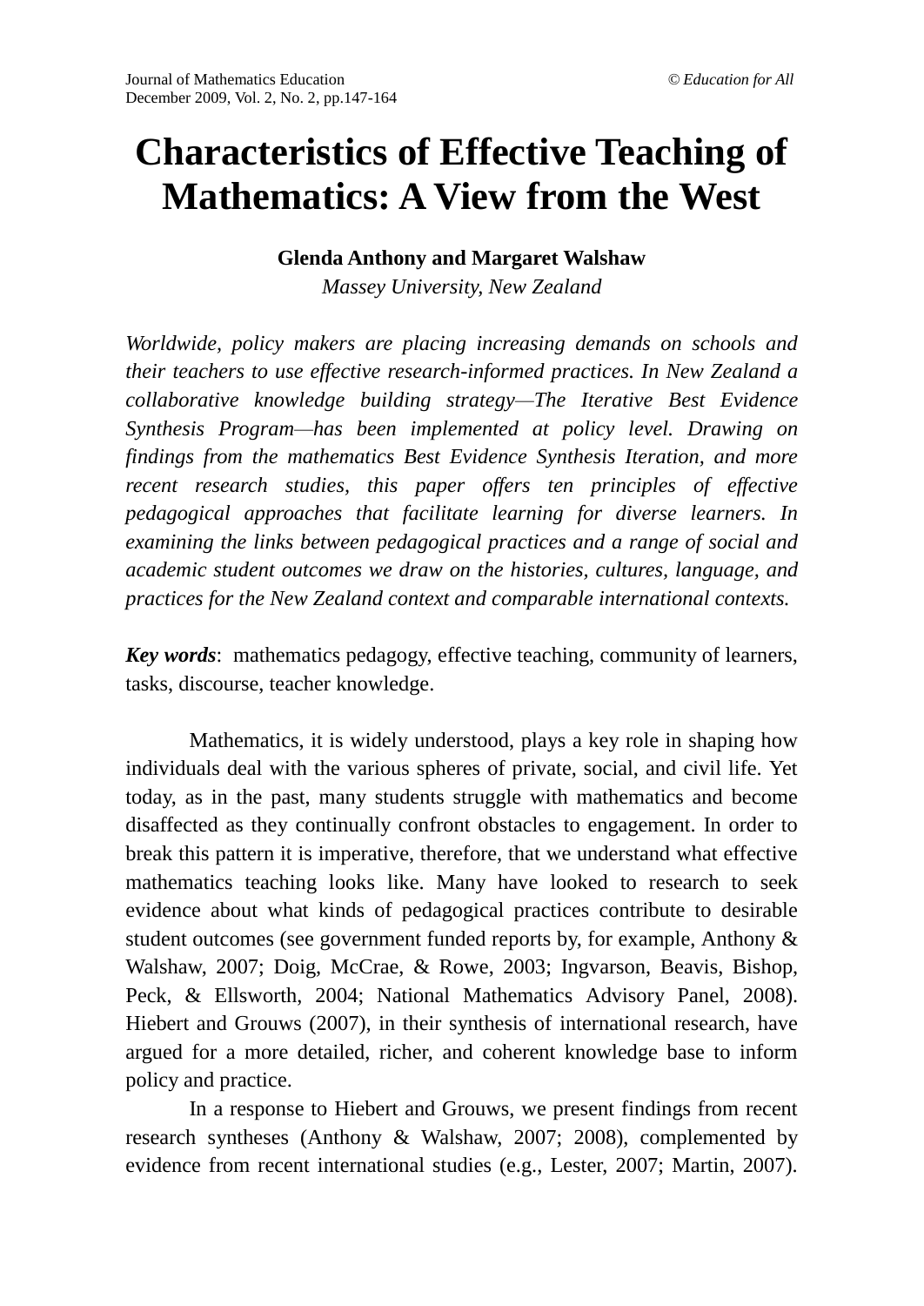# **Characteristics of Effective Teaching of Mathematics: A View from the West**

#### **Glenda Anthony and Margaret Walshaw**

*Massey University, New Zealand*

*Worldwide, policy makers are placing increasing demands on schools and their teachers to use effective research-informed practices. In New Zealand a collaborative knowledge building strategy—The Iterative Best Evidence Synthesis Program—has been implemented at policy level. Drawing on findings from the mathematics Best Evidence Synthesis Iteration, and more recent research studies, this paper offers ten principles of effective pedagogical approaches that facilitate learning for diverse learners. In examining the links between pedagogical practices and a range of social and academic student outcomes we draw on the histories, cultures, language, and practices for the New Zealand context and comparable international contexts.* 

*Key words*: mathematics pedagogy, effective teaching, community of learners, tasks, discourse, teacher knowledge.

Mathematics, it is widely understood, plays a key role in shaping how individuals deal with the various spheres of private, social, and civil life. Yet today, as in the past, many students struggle with mathematics and become disaffected as they continually confront obstacles to engagement. In order to break this pattern it is imperative, therefore, that we understand what effective mathematics teaching looks like. Many have looked to research to seek evidence about what kinds of pedagogical practices contribute to desirable student outcomes (see government funded reports by, for example, Anthony & Walshaw, 2007; Doig, McCrae, & Rowe, 2003; Ingvarson, Beavis, Bishop, Peck, & Ellsworth, 2004; National Mathematics Advisory Panel, 2008). Hiebert and Grouws (2007), in their synthesis of international research, have argued for a more detailed, richer, and coherent knowledge base to inform policy and practice.

In a response to Hiebert and Grouws, we present findings from recent research syntheses (Anthony & Walshaw, 2007; 2008), complemented by evidence from recent international studies (e.g., Lester, 2007; Martin, 2007).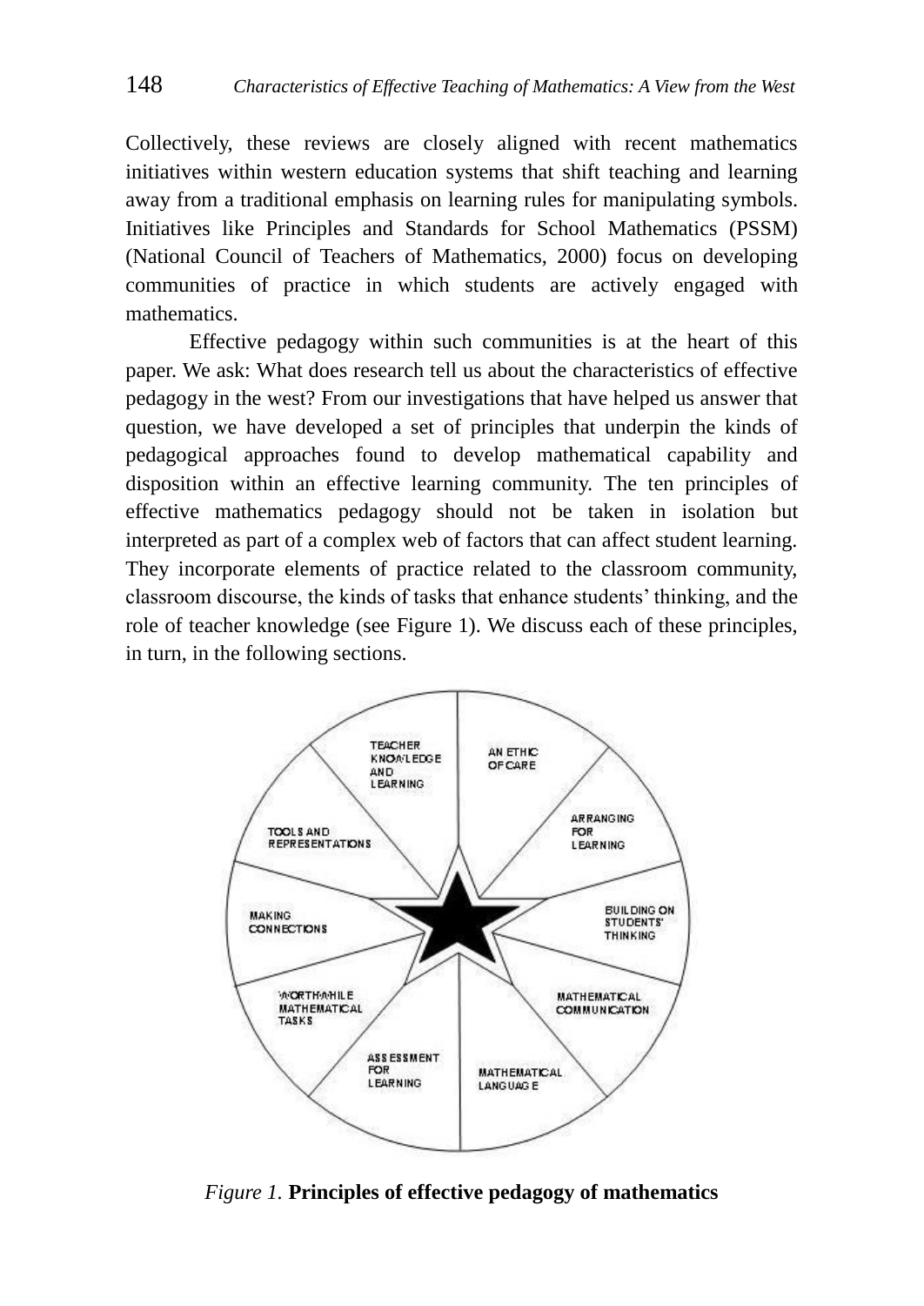Collectively, these reviews are closely aligned with recent mathematics initiatives within western education systems that shift teaching and learning away from a traditional emphasis on learning rules for manipulating symbols. Initiatives like Principles and Standards for School Mathematics (PSSM) (National Council of Teachers of Mathematics, 2000) focus on developing communities of practice in which students are actively engaged with mathematics.

Effective pedagogy within such communities is at the heart of this paper. We ask: What does research tell us about the characteristics of effective pedagogy in the west? From our investigations that have helped us answer that question, we have developed a set of principles that underpin the kinds of pedagogical approaches found to develop mathematical capability and disposition within an effective learning community. The ten principles of effective mathematics pedagogy should not be taken in isolation but interpreted as part of a complex web of factors that can affect student learning. They incorporate elements of practice related to the classroom community, classroom discourse, the kinds of tasks that enhance students' thinking, and the role of teacher knowledge (see Figure 1). We discuss each of these principles, in turn, in the following sections.



*Figure 1.* **Principles of effective pedagogy of mathematics**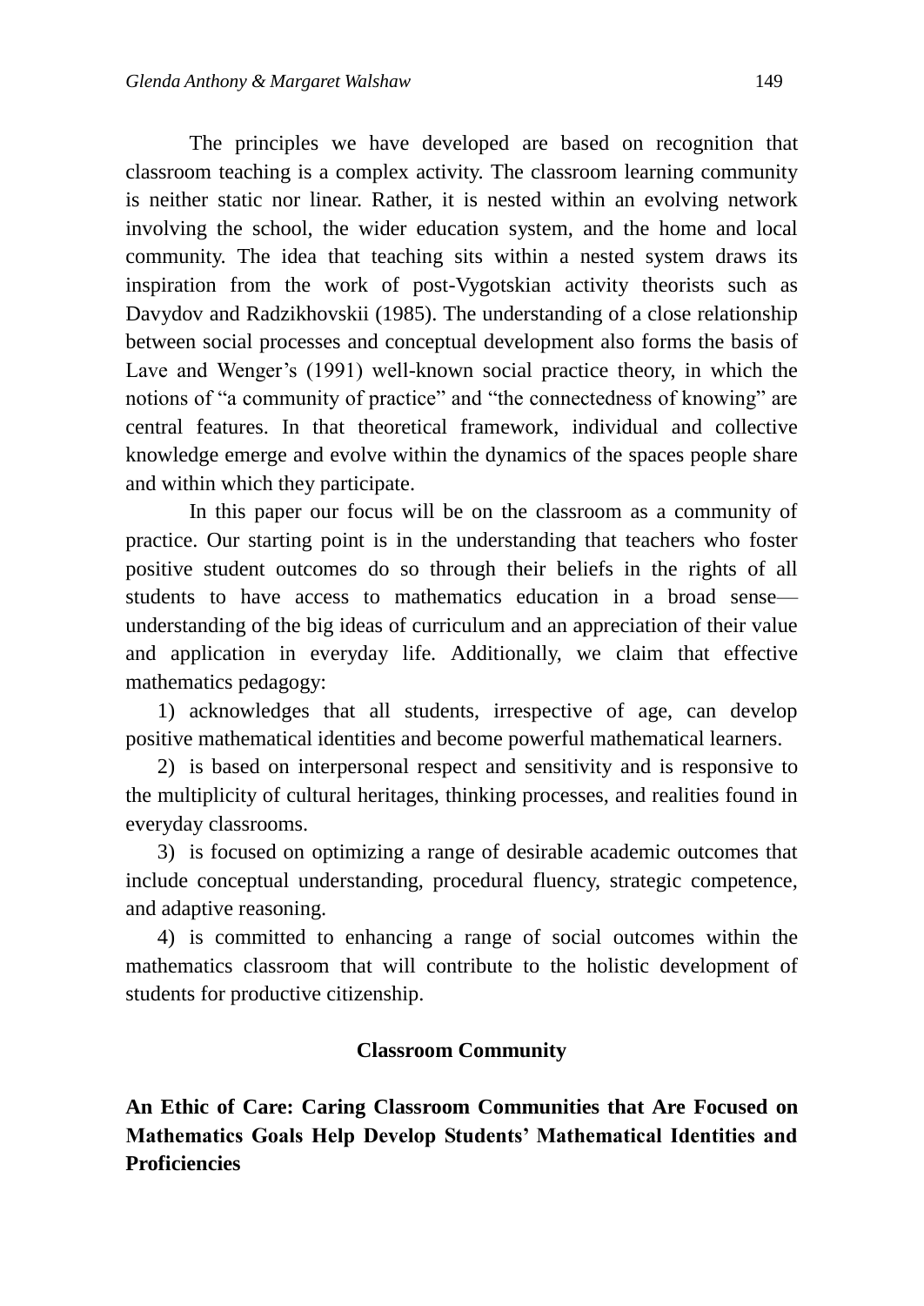The principles we have developed are based on recognition that classroom teaching is a complex activity. The classroom learning community is neither static nor linear. Rather, it is nested within an evolving network involving the school, the wider education system, and the home and local community. The idea that teaching sits within a nested system draws its inspiration from the work of post-Vygotskian activity theorists such as Davydov and Radzikhovskii (1985). The understanding of a close relationship between social processes and conceptual development also forms the basis of Lave and Wenger's (1991) well-known social practice theory, in which the notions of "a community of practice" and "the connectedness of knowing" are central features. In that theoretical framework, individual and collective knowledge emerge and evolve within the dynamics of the spaces people share and within which they participate.

In this paper our focus will be on the classroom as a community of practice. Our starting point is in the understanding that teachers who foster positive student outcomes do so through their beliefs in the rights of all students to have access to mathematics education in a broad sense understanding of the big ideas of curriculum and an appreciation of their value and application in everyday life. Additionally, we claim that effective mathematics pedagogy:

1) acknowledges that all students, irrespective of age, can develop positive mathematical identities and become powerful mathematical learners.

2) is based on interpersonal respect and sensitivity and is responsive to the multiplicity of cultural heritages, thinking processes, and realities found in everyday classrooms.

3) is focused on optimizing a range of desirable academic outcomes that include conceptual understanding, procedural fluency, strategic competence, and adaptive reasoning.

4) is committed to enhancing a range of social outcomes within the mathematics classroom that will contribute to the holistic development of students for productive citizenship.

#### **Classroom Community**

**An Ethic of Care: Caring Classroom Communities that Are Focused on Mathematics Goals Help Develop Students' Mathematical Identities and Proficiencies**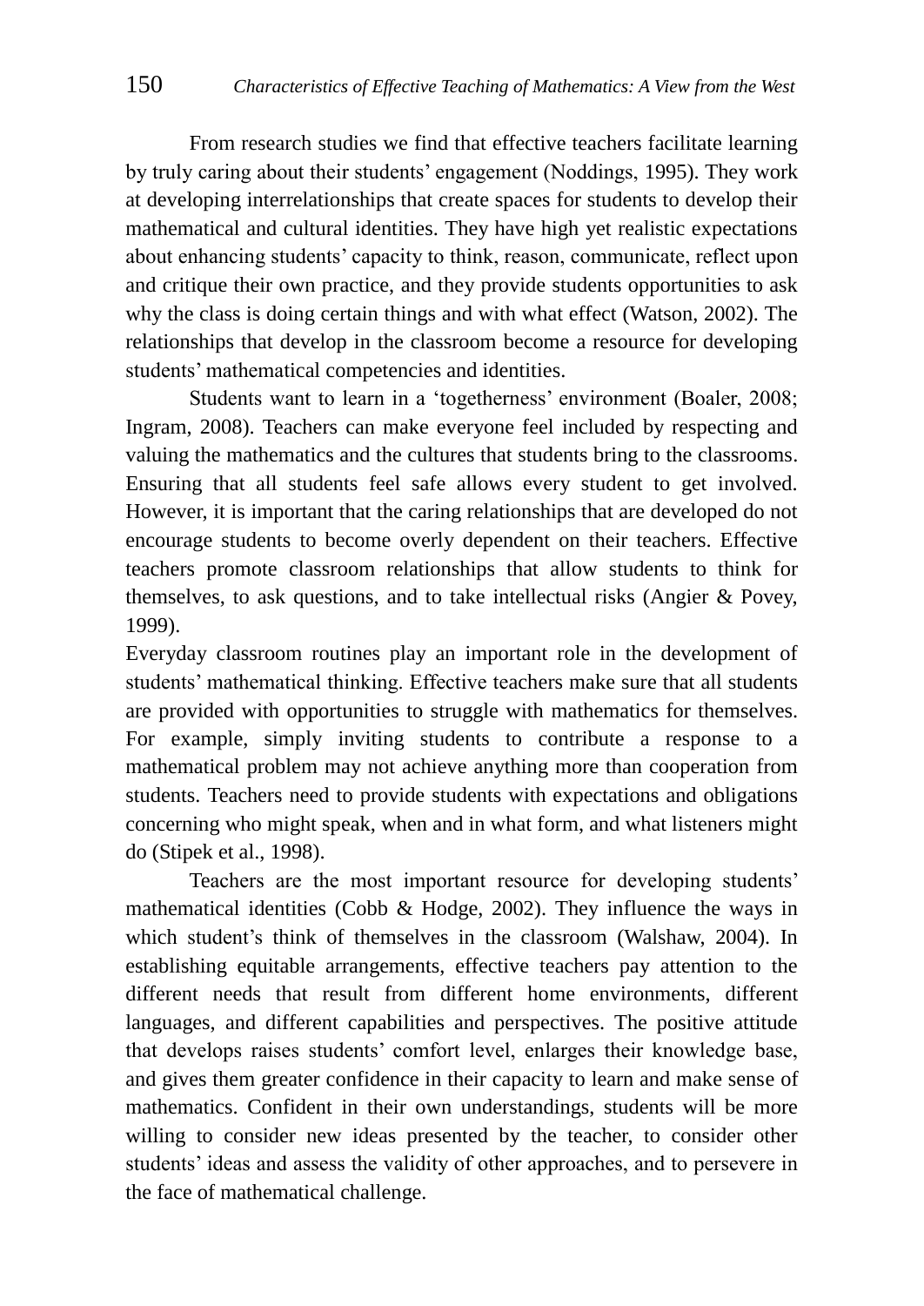From research studies we find that effective teachers facilitate learning by truly caring about their students' engagement (Noddings, 1995). They work at developing interrelationships that create spaces for students to develop their mathematical and cultural identities. They have high yet realistic expectations about enhancing students' capacity to think, reason, communicate, reflect upon and critique their own practice, and they provide students opportunities to ask why the class is doing certain things and with what effect (Watson, 2002). The relationships that develop in the classroom become a resource for developing students' mathematical competencies and identities.

Students want to learn in a 'togetherness' environment (Boaler, 2008; Ingram, 2008). Teachers can make everyone feel included by respecting and valuing the mathematics and the cultures that students bring to the classrooms. Ensuring that all students feel safe allows every student to get involved. However, it is important that the caring relationships that are developed do not encourage students to become overly dependent on their teachers. Effective teachers promote classroom relationships that allow students to think for themselves, to ask questions, and to take intellectual risks (Angier & Povey, 1999).

Everyday classroom routines play an important role in the development of students' mathematical thinking. Effective teachers make sure that all students are provided with opportunities to struggle with mathematics for themselves. For example, simply inviting students to contribute a response to a mathematical problem may not achieve anything more than cooperation from students. Teachers need to provide students with expectations and obligations concerning who might speak, when and in what form, and what listeners might do (Stipek et al., 1998).

Teachers are the most important resource for developing students' mathematical identities (Cobb  $\&$  Hodge, 2002). They influence the ways in which student's think of themselves in the classroom (Walshaw, 2004). In establishing equitable arrangements, effective teachers pay attention to the different needs that result from different home environments, different languages, and different capabilities and perspectives. The positive attitude that develops raises students' comfort level, enlarges their knowledge base, and gives them greater confidence in their capacity to learn and make sense of mathematics. Confident in their own understandings, students will be more willing to consider new ideas presented by the teacher, to consider other students' ideas and assess the validity of other approaches, and to persevere in the face of mathematical challenge.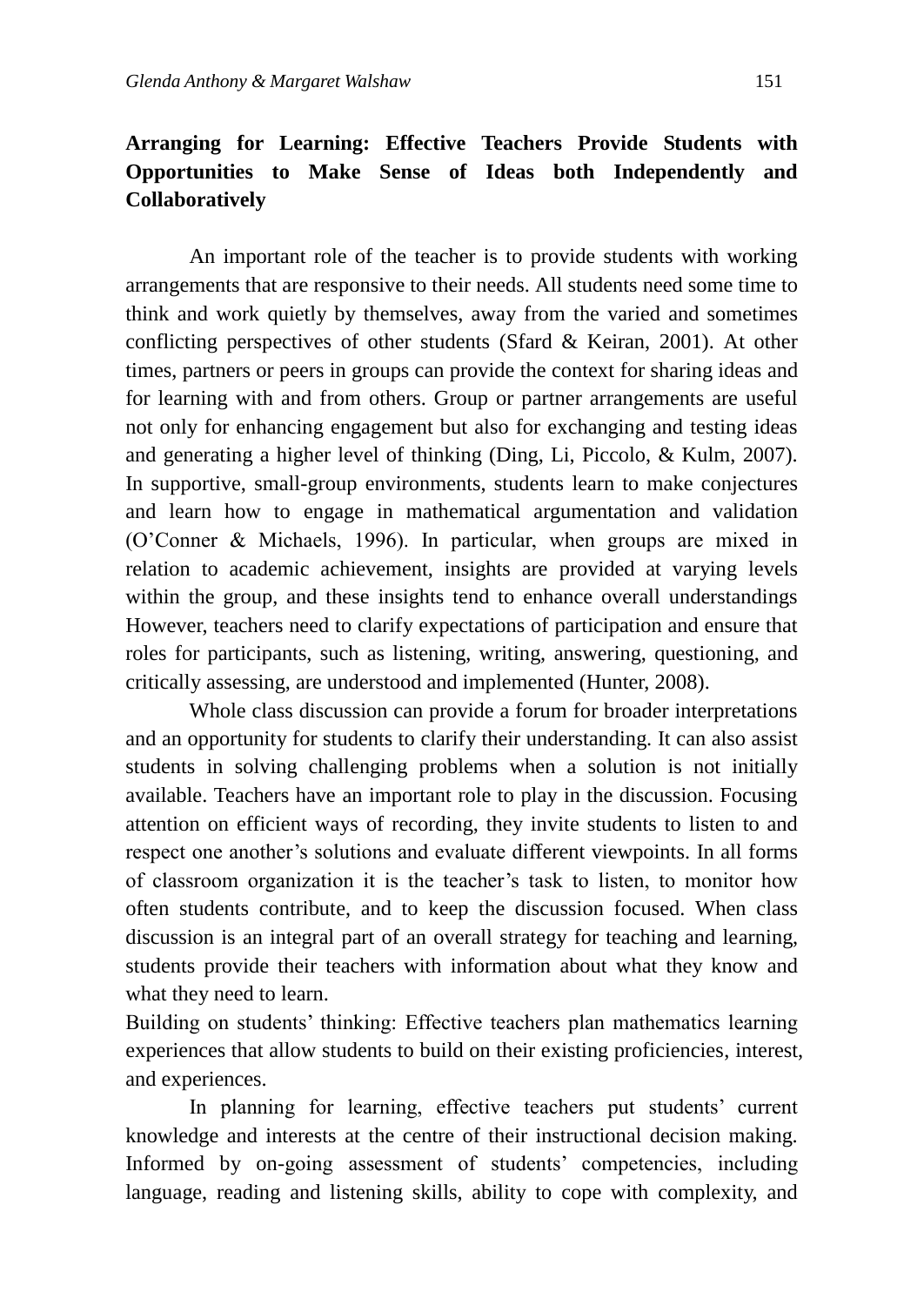## **Arranging for Learning: Effective Teachers Provide Students with Opportunities to Make Sense of Ideas both Independently and Collaboratively**

An important role of the teacher is to provide students with working arrangements that are responsive to their needs. All students need some time to think and work quietly by themselves, away from the varied and sometimes conflicting perspectives of other students (Sfard  $\&$  Keiran, 2001). At other times, partners or peers in groups can provide the context for sharing ideas and for learning with and from others. Group or partner arrangements are useful not only for enhancing engagement but also for exchanging and testing ideas and generating a higher level of thinking (Ding, Li, Piccolo, & Kulm, 2007). In supportive, small-group environments, students learn to make conjectures and learn how to engage in mathematical argumentation and validation (O'Conner & Michaels, 1996). In particular, when groups are mixed in relation to academic achievement, insights are provided at varying levels within the group, and these insights tend to enhance overall understandings However, teachers need to clarify expectations of participation and ensure that roles for participants, such as listening, writing, answering, questioning, and critically assessing, are understood and implemented (Hunter, 2008).

Whole class discussion can provide a forum for broader interpretations and an opportunity for students to clarify their understanding. It can also assist students in solving challenging problems when a solution is not initially available. Teachers have an important role to play in the discussion. Focusing attention on efficient ways of recording, they invite students to listen to and respect one another's solutions and evaluate different viewpoints. In all forms of classroom organization it is the teacher's task to listen, to monitor how often students contribute, and to keep the discussion focused. When class discussion is an integral part of an overall strategy for teaching and learning, students provide their teachers with information about what they know and what they need to learn.

Building on students' thinking: Effective teachers plan mathematics learning experiences that allow students to build on their existing proficiencies, interest, and experiences.

In planning for learning, effective teachers put students' current knowledge and interests at the centre of their instructional decision making. Informed by on-going assessment of students' competencies, including language, reading and listening skills, ability to cope with complexity, and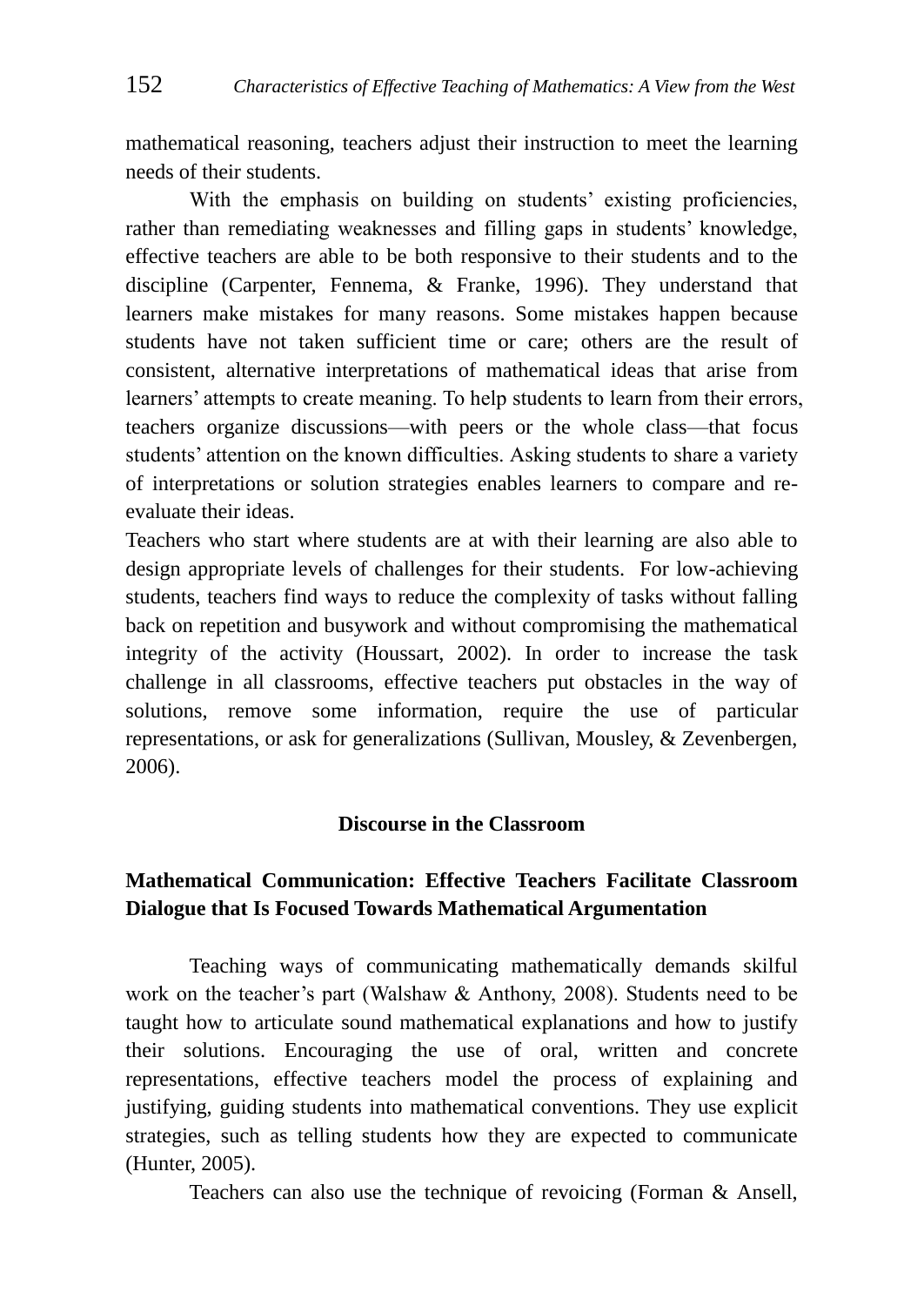mathematical reasoning, teachers adjust their instruction to meet the learning needs of their students.

With the emphasis on building on students' existing proficiencies, rather than remediating weaknesses and filling gaps in students' knowledge, effective teachers are able to be both responsive to their students and to the discipline (Carpenter, Fennema, & Franke, 1996). They understand that learners make mistakes for many reasons. Some mistakes happen because students have not taken sufficient time or care; others are the result of consistent, alternative interpretations of mathematical ideas that arise from learners' attempts to create meaning. To help students to learn from their errors, teachers organize discussions—with peers or the whole class—that focus students' attention on the known difficulties. Asking students to share a variety of interpretations or solution strategies enables learners to compare and reevaluate their ideas.

Teachers who start where students are at with their learning are also able to design appropriate levels of challenges for their students. For low-achieving students, teachers find ways to reduce the complexity of tasks without falling back on repetition and busywork and without compromising the mathematical integrity of the activity (Houssart, 2002). In order to increase the task challenge in all classrooms, effective teachers put obstacles in the way of solutions, remove some information, require the use of particular representations, or ask for generalizations (Sullivan, Mousley, & Zevenbergen, 2006).

#### **Discourse in the Classroom**

## **Mathematical Communication: Effective Teachers Facilitate Classroom Dialogue that Is Focused Towards Mathematical Argumentation**

Teaching ways of communicating mathematically demands skilful work on the teacher's part (Walshaw & Anthony, 2008). Students need to be taught how to articulate sound mathematical explanations and how to justify their solutions. Encouraging the use of oral, written and concrete representations, effective teachers model the process of explaining and justifying, guiding students into mathematical conventions. They use explicit strategies, such as telling students how they are expected to communicate (Hunter, 2005).

Teachers can also use the technique of revoicing (Forman & Ansell,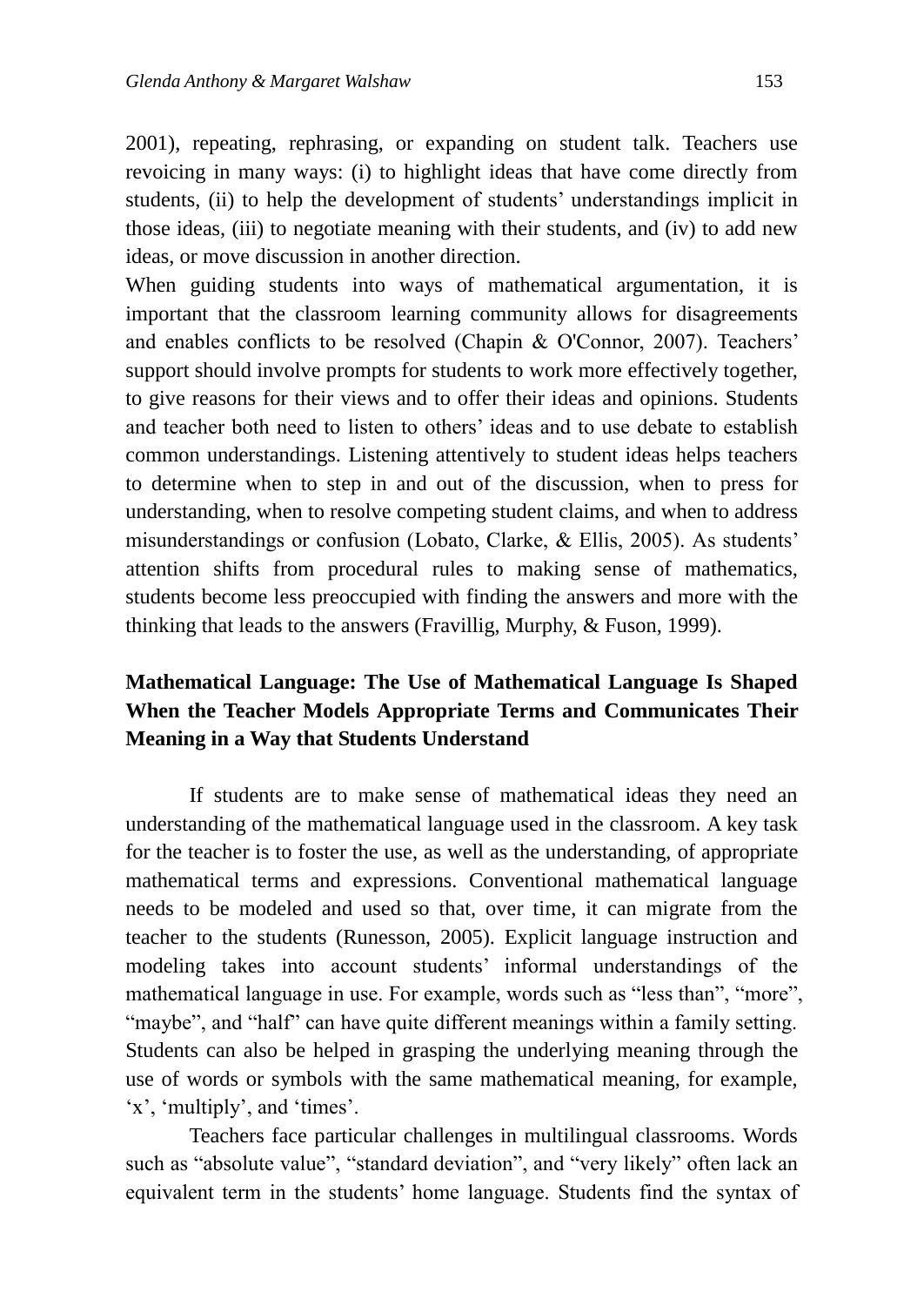2001), repeating, rephrasing, or expanding on student talk. Teachers use revoicing in many ways: (i) to highlight ideas that have come directly from students, (ii) to help the development of students' understandings implicit in those ideas, (iii) to negotiate meaning with their students, and (iv) to add new ideas, or move discussion in another direction.

When guiding students into ways of mathematical argumentation, it is important that the classroom learning community allows for disagreements and enables conflicts to be resolved (Chapin & O'Connor, 2007). Teachers' support should involve prompts for students to work more effectively together, to give reasons for their views and to offer their ideas and opinions. Students and teacher both need to listen to others' ideas and to use debate to establish common understandings. Listening attentively to student ideas helps teachers to determine when to step in and out of the discussion, when to press for understanding, when to resolve competing student claims, and when to address misunderstandings or confusion (Lobato, Clarke, & Ellis, 2005). As students' attention shifts from procedural rules to making sense of mathematics, students become less preoccupied with finding the answers and more with the thinking that leads to the answers (Fravillig, Murphy, & Fuson, 1999).

## **Mathematical Language: The Use of Mathematical Language Is Shaped When the Teacher Models Appropriate Terms and Communicates Their Meaning in a Way that Students Understand**

If students are to make sense of mathematical ideas they need an understanding of the mathematical language used in the classroom. A key task for the teacher is to foster the use, as well as the understanding, of appropriate mathematical terms and expressions. Conventional mathematical language needs to be modeled and used so that, over time, it can migrate from the teacher to the students (Runesson, 2005). Explicit language instruction and modeling takes into account students' informal understandings of the mathematical language in use. For example, words such as "less than", "more", "maybe", and "half" can have quite different meanings within a family setting. Students can also be helped in grasping the underlying meaning through the use of words or symbols with the same mathematical meaning, for example,  $x^{\prime}$ , 'multiply', and 'times'.

Teachers face particular challenges in multilingual classrooms. Words such as "absolute value", "standard deviation", and "very likely" often lack an equivalent term in the students' home language. Students find the syntax of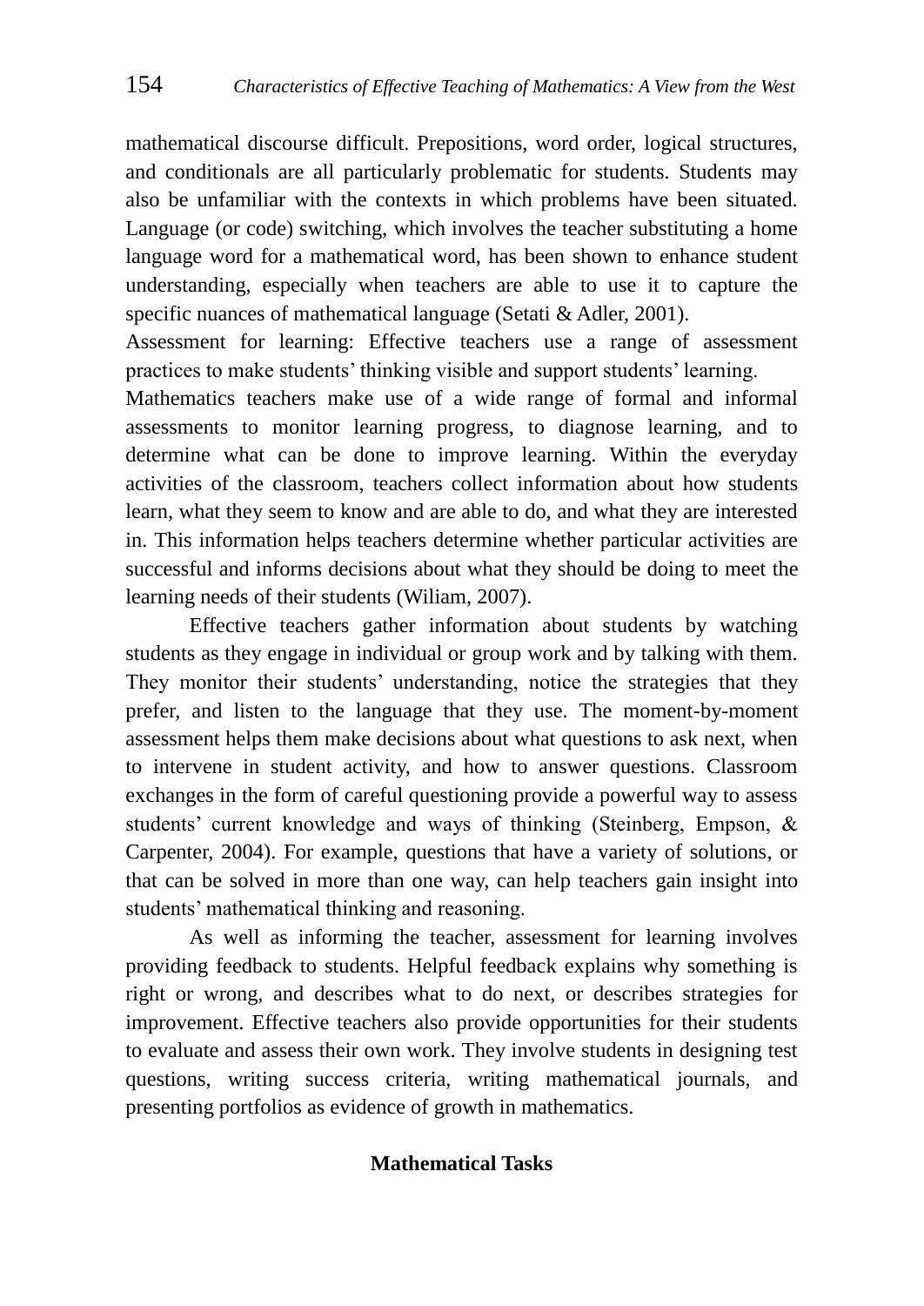mathematical discourse difficult. Prepositions, word order, logical structures, and conditionals are all particularly problematic for students. Students may also be unfamiliar with the contexts in which problems have been situated. Language (or code) switching, which involves the teacher substituting a home language word for a mathematical word, has been shown to enhance student understanding, especially when teachers are able to use it to capture the specific nuances of mathematical language (Setati & Adler, 2001).

Assessment for learning: Effective teachers use a range of assessment practices to make students' thinking visible and support students' learning.

Mathematics teachers make use of a wide range of formal and informal assessments to monitor learning progress, to diagnose learning, and to determine what can be done to improve learning. Within the everyday activities of the classroom, teachers collect information about how students learn, what they seem to know and are able to do, and what they are interested in. This information helps teachers determine whether particular activities are successful and informs decisions about what they should be doing to meet the learning needs of their students (Wiliam, 2007).

Effective teachers gather information about students by watching students as they engage in individual or group work and by talking with them. They monitor their students' understanding, notice the strategies that they prefer, and listen to the language that they use. The moment-by-moment assessment helps them make decisions about what questions to ask next, when to intervene in student activity, and how to answer questions. Classroom exchanges in the form of careful questioning provide a powerful way to assess students' current knowledge and ways of thinking (Steinberg, Empson, & Carpenter, 2004). For example, questions that have a variety of solutions, or that can be solved in more than one way, can help teachers gain insight into students' mathematical thinking and reasoning.

As well as informing the teacher, assessment for learning involves providing feedback to students. Helpful feedback explains why something is right or wrong, and describes what to do next, or describes strategies for improvement. Effective teachers also provide opportunities for their students to evaluate and assess their own work. They involve students in designing test questions, writing success criteria, writing mathematical journals, and presenting portfolios as evidence of growth in mathematics.

#### **Mathematical Tasks**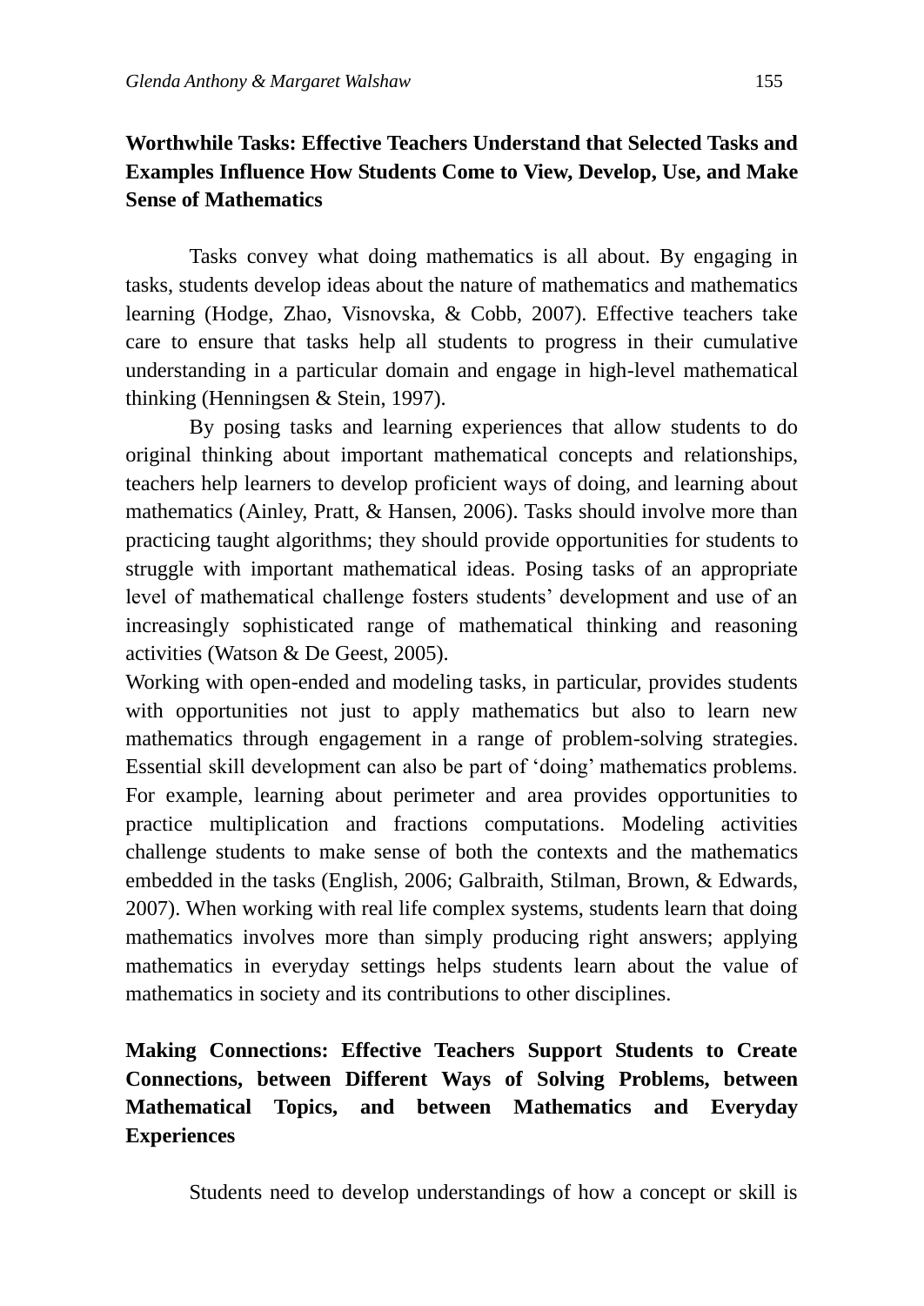## **Worthwhile Tasks: Effective Teachers Understand that Selected Tasks and Examples Influence How Students Come to View, Develop, Use, and Make Sense of Mathematics**

Tasks convey what doing mathematics is all about. By engaging in tasks, students develop ideas about the nature of mathematics and mathematics learning (Hodge, Zhao, Visnovska, & Cobb, 2007). Effective teachers take care to ensure that tasks help all students to progress in their cumulative understanding in a particular domain and engage in high-level mathematical thinking (Henningsen & Stein, 1997).

By posing tasks and learning experiences that allow students to do original thinking about important mathematical concepts and relationships, teachers help learners to develop proficient ways of doing, and learning about mathematics (Ainley, Pratt, & Hansen, 2006). Tasks should involve more than practicing taught algorithms; they should provide opportunities for students to struggle with important mathematical ideas. Posing tasks of an appropriate level of mathematical challenge fosters students' development and use of an increasingly sophisticated range of mathematical thinking and reasoning activities (Watson & De Geest, 2005).

Working with open-ended and modeling tasks, in particular, provides students with opportunities not just to apply mathematics but also to learn new mathematics through engagement in a range of problem-solving strategies. Essential skill development can also be part of 'doing' mathematics problems. For example, learning about perimeter and area provides opportunities to practice multiplication and fractions computations. Modeling activities challenge students to make sense of both the contexts and the mathematics embedded in the tasks (English, 2006; Galbraith, Stilman, Brown, & Edwards, 2007). When working with real life complex systems, students learn that doing mathematics involves more than simply producing right answers; applying mathematics in everyday settings helps students learn about the value of mathematics in society and its contributions to other disciplines.

## **Making Connections: Effective Teachers Support Students to Create Connections, between Different Ways of Solving Problems, between Mathematical Topics, and between Mathematics and Everyday Experiences**

Students need to develop understandings of how a concept or skill is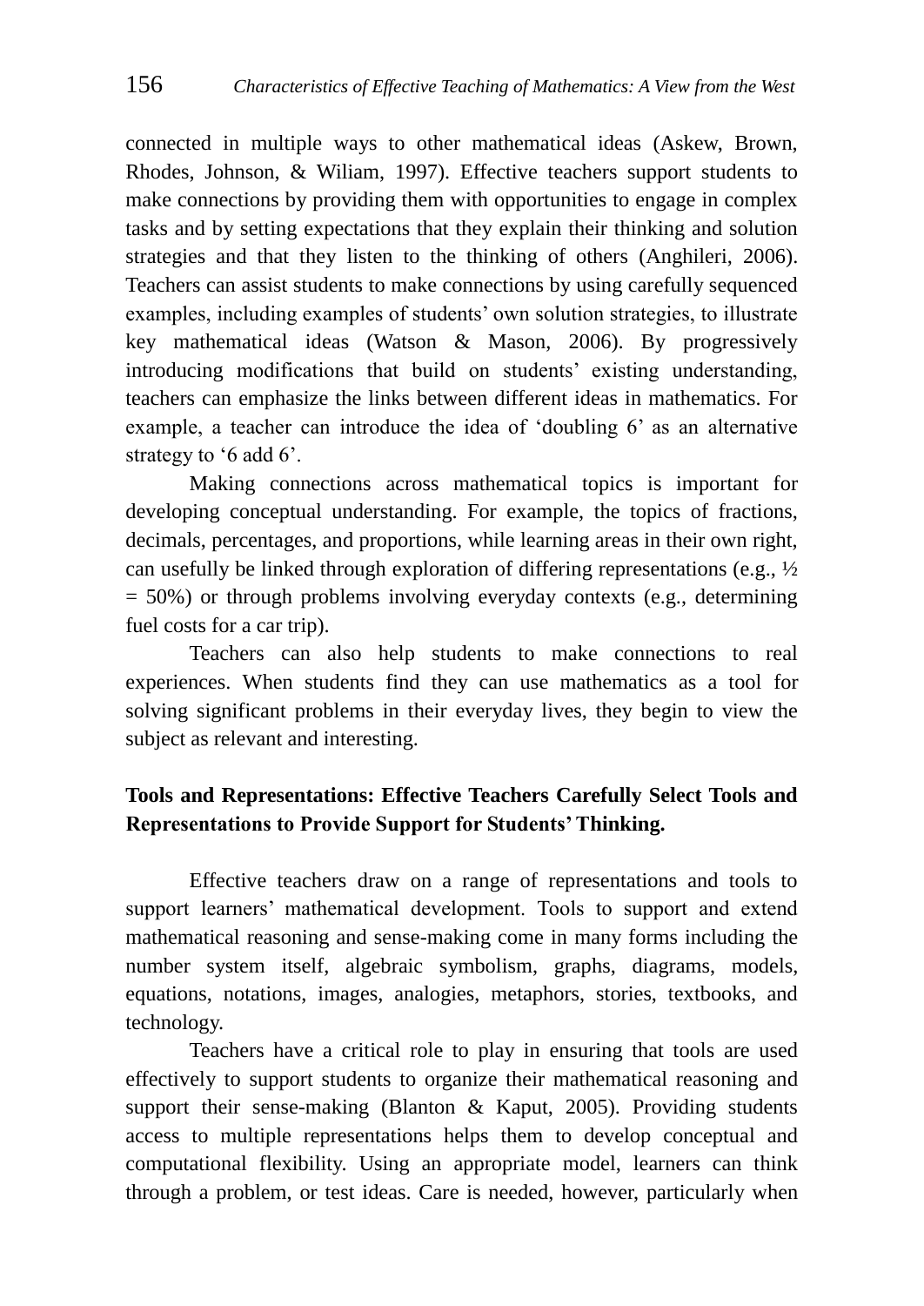connected in multiple ways to other mathematical ideas (Askew, Brown, Rhodes, Johnson, & Wiliam, 1997). Effective teachers support students to make connections by providing them with opportunities to engage in complex tasks and by setting expectations that they explain their thinking and solution strategies and that they listen to the thinking of others (Anghileri, 2006). Teachers can assist students to make connections by using carefully sequenced examples, including examples of students' own solution strategies, to illustrate key mathematical ideas (Watson & Mason, 2006). By progressively introducing modifications that build on students' existing understanding, teachers can emphasize the links between different ideas in mathematics. For example, a teacher can introduce the idea of 'doubling 6' as an alternative strategy to  $6$  add  $6$ .

Making connections across mathematical topics is important for developing conceptual understanding. For example, the topics of fractions, decimals, percentages, and proportions, while learning areas in their own right, can usefully be linked through exploration of differing representations (e.g., ½  $= 50\%$ ) or through problems involving everyday contexts (e.g., determining fuel costs for a car trip).

Teachers can also help students to make connections to real experiences. When students find they can use mathematics as a tool for solving significant problems in their everyday lives, they begin to view the subject as relevant and interesting.

## **Tools and Representations: Effective Teachers Carefully Select Tools and Representations to Provide Support for Students' Thinking.**

Effective teachers draw on a range of representations and tools to support learners' mathematical development. Tools to support and extend mathematical reasoning and sense-making come in many forms including the number system itself, algebraic symbolism, graphs, diagrams, models, equations, notations, images, analogies, metaphors, stories, textbooks, and technology.

Teachers have a critical role to play in ensuring that tools are used effectively to support students to organize their mathematical reasoning and support their sense-making (Blanton & Kaput, 2005). Providing students access to multiple representations helps them to develop conceptual and computational flexibility. Using an appropriate model, learners can think through a problem, or test ideas. Care is needed, however, particularly when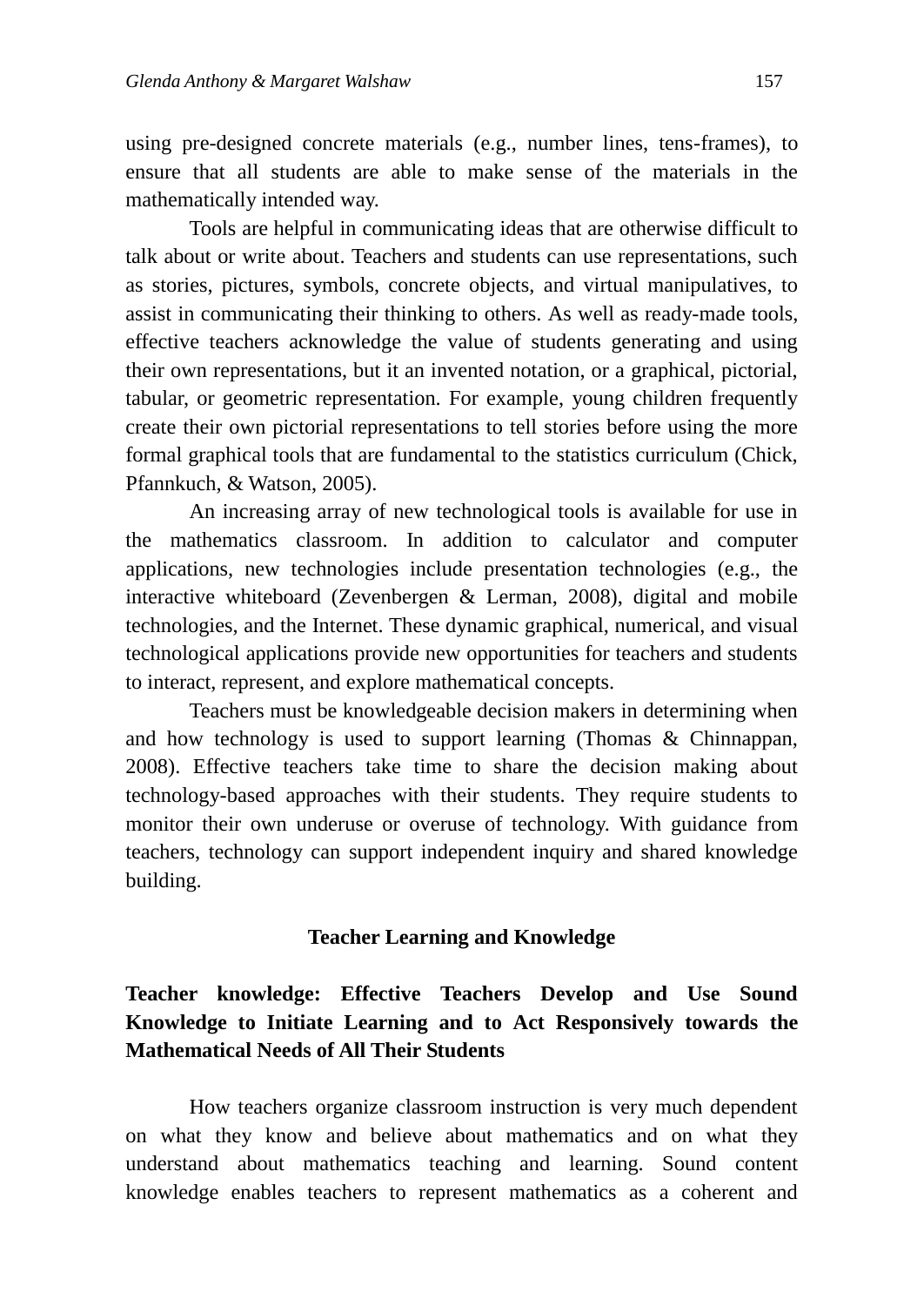using pre-designed concrete materials (e.g., number lines, tens-frames), to ensure that all students are able to make sense of the materials in the mathematically intended way.

Tools are helpful in communicating ideas that are otherwise difficult to talk about or write about. Teachers and students can use representations, such as stories, pictures, symbols, concrete objects, and virtual manipulatives, to assist in communicating their thinking to others. As well as ready-made tools, effective teachers acknowledge the value of students generating and using their own representations, but it an invented notation, or a graphical, pictorial, tabular, or geometric representation. For example, young children frequently create their own pictorial representations to tell stories before using the more formal graphical tools that are fundamental to the statistics curriculum (Chick, Pfannkuch, & Watson, 2005).

An increasing array of new technological tools is available for use in the mathematics classroom. In addition to calculator and computer applications, new technologies include presentation technologies (e.g., the interactive whiteboard (Zevenbergen & Lerman, 2008), digital and mobile technologies, and the Internet. These dynamic graphical, numerical, and visual technological applications provide new opportunities for teachers and students to interact, represent, and explore mathematical concepts.

Teachers must be knowledgeable decision makers in determining when and how technology is used to support learning (Thomas & Chinnappan, 2008). Effective teachers take time to share the decision making about technology-based approaches with their students. They require students to monitor their own underuse or overuse of technology. With guidance from teachers, technology can support independent inquiry and shared knowledge building.

#### **Teacher Learning and Knowledge**

## **Teacher knowledge: Effective Teachers Develop and Use Sound Knowledge to Initiate Learning and to Act Responsively towards the Mathematical Needs of All Their Students**

How teachers organize classroom instruction is very much dependent on what they know and believe about mathematics and on what they understand about mathematics teaching and learning. Sound content knowledge enables teachers to represent mathematics as a coherent and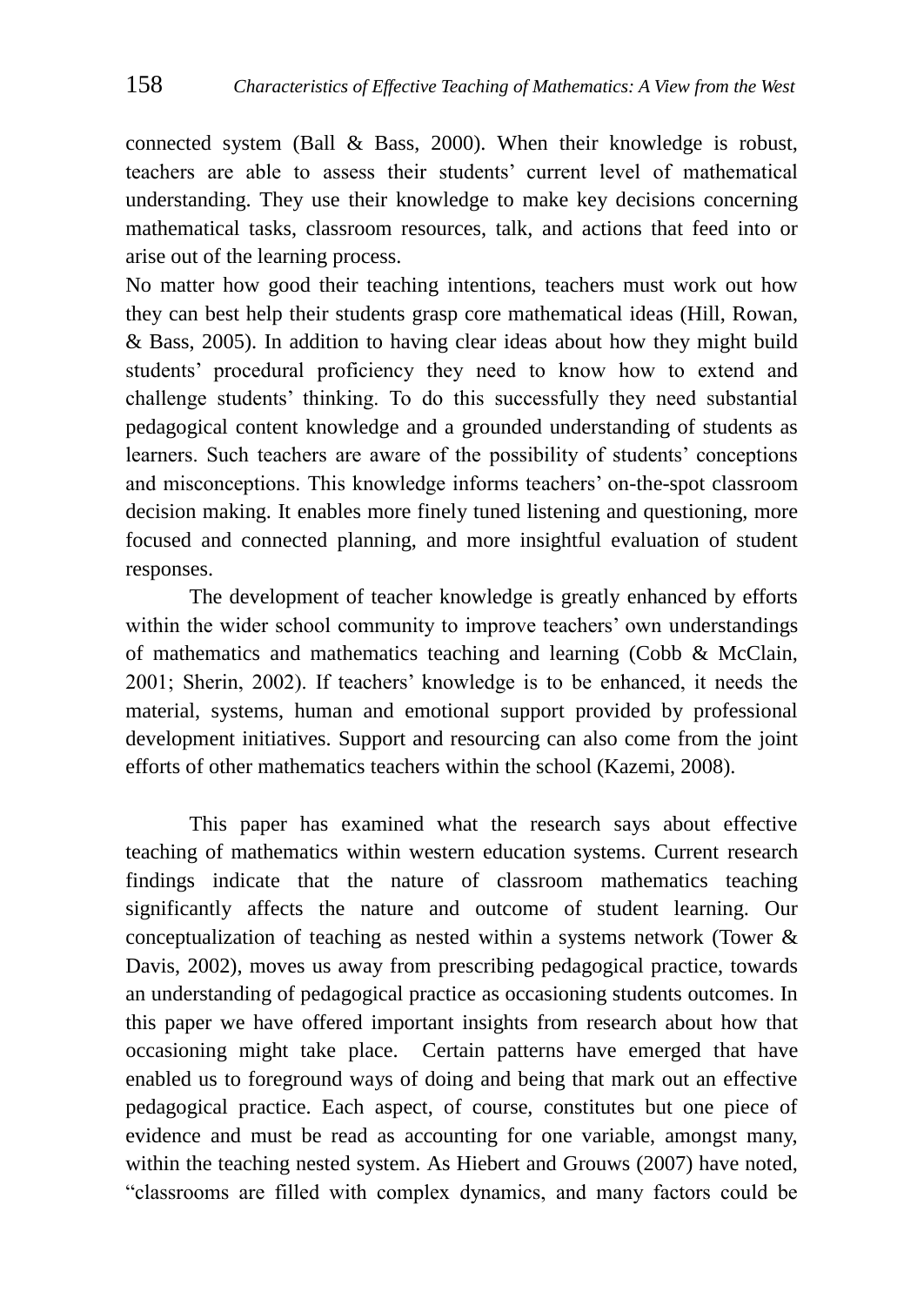connected system (Ball & Bass, 2000). When their knowledge is robust, teachers are able to assess their students' current level of mathematical understanding. They use their knowledge to make key decisions concerning mathematical tasks, classroom resources, talk, and actions that feed into or arise out of the learning process.

No matter how good their teaching intentions, teachers must work out how they can best help their students grasp core mathematical ideas (Hill, Rowan, & Bass, 2005). In addition to having clear ideas about how they might build students' procedural proficiency they need to know how to extend and challenge students' thinking. To do this successfully they need substantial pedagogical content knowledge and a grounded understanding of students as learners. Such teachers are aware of the possibility of students' conceptions and misconceptions. This knowledge informs teachers' on-the-spot classroom decision making. It enables more finely tuned listening and questioning, more focused and connected planning, and more insightful evaluation of student responses.

The development of teacher knowledge is greatly enhanced by efforts within the wider school community to improve teachers' own understandings of mathematics and mathematics teaching and learning (Cobb & McClain, 2001; Sherin, 2002). If teachers' knowledge is to be enhanced, it needs the material, systems, human and emotional support provided by professional development initiatives. Support and resourcing can also come from the joint efforts of other mathematics teachers within the school (Kazemi, 2008).

This paper has examined what the research says about effective teaching of mathematics within western education systems. Current research findings indicate that the nature of classroom mathematics teaching significantly affects the nature and outcome of student learning. Our conceptualization of teaching as nested within a systems network (Tower & Davis, 2002), moves us away from prescribing pedagogical practice, towards an understanding of pedagogical practice as occasioning students outcomes. In this paper we have offered important insights from research about how that occasioning might take place. Certain patterns have emerged that have enabled us to foreground ways of doing and being that mark out an effective pedagogical practice. Each aspect, of course, constitutes but one piece of evidence and must be read as accounting for one variable, amongst many, within the teaching nested system. As Hiebert and Grouws (2007) have noted, ―classrooms are filled with complex dynamics, and many factors could be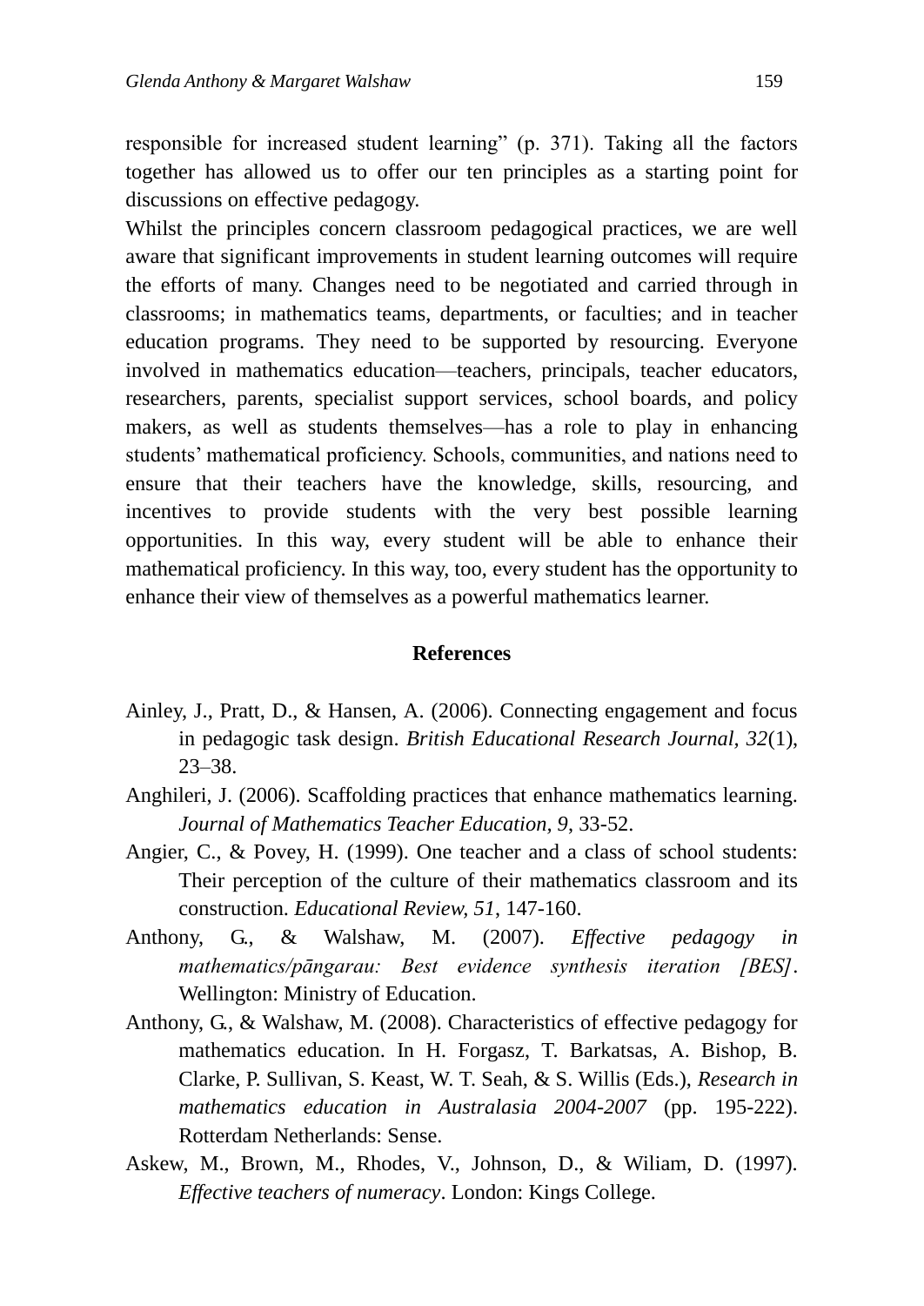responsible for increased student learning" (p. 371). Taking all the factors together has allowed us to offer our ten principles as a starting point for discussions on effective pedagogy.

Whilst the principles concern classroom pedagogical practices, we are well aware that significant improvements in student learning outcomes will require the efforts of many. Changes need to be negotiated and carried through in classrooms; in mathematics teams, departments, or faculties; and in teacher education programs. They need to be supported by resourcing. Everyone involved in mathematics education—teachers, principals, teacher educators, researchers, parents, specialist support services, school boards, and policy makers, as well as students themselves—has a role to play in enhancing students' mathematical proficiency. Schools, communities, and nations need to ensure that their teachers have the knowledge, skills, resourcing, and incentives to provide students with the very best possible learning opportunities. In this way, every student will be able to enhance their mathematical proficiency. In this way, too, every student has the opportunity to enhance their view of themselves as a powerful mathematics learner.

#### **References**

- Ainley, J., Pratt, D., & Hansen, A. (2006). Connecting engagement and focus in pedagogic task design. *British Educational Research Journal, 32*(1), 23–38.
- Anghileri, J. (2006). Scaffolding practices that enhance mathematics learning. *Journal of Mathematics Teacher Education, 9*, 33-52.
- Angier, C., & Povey, H. (1999). One teacher and a class of school students: Their perception of the culture of their mathematics classroom and its construction. *Educational Review, 51*, 147-160.
- Anthony, G., & Walshaw, M. (2007). *Effective pedagogy in mathematics/pāngarau: Best evidence synthesis iteration [BES]*. Wellington: Ministry of Education.
- Anthony, G., & Walshaw, M. (2008). Characteristics of effective pedagogy for mathematics education. In H. Forgasz, T. Barkatsas, A. Bishop, B. Clarke, P. Sullivan, S. Keast, W. T. Seah, & S. Willis (Eds.), *Research in mathematics education in Australasia 2004-2007* (pp. 195-222). Rotterdam Netherlands: Sense.
- Askew, M., Brown, M., Rhodes, V., Johnson, D., & Wiliam, D. (1997). *Effective teachers of numeracy*. London: Kings College.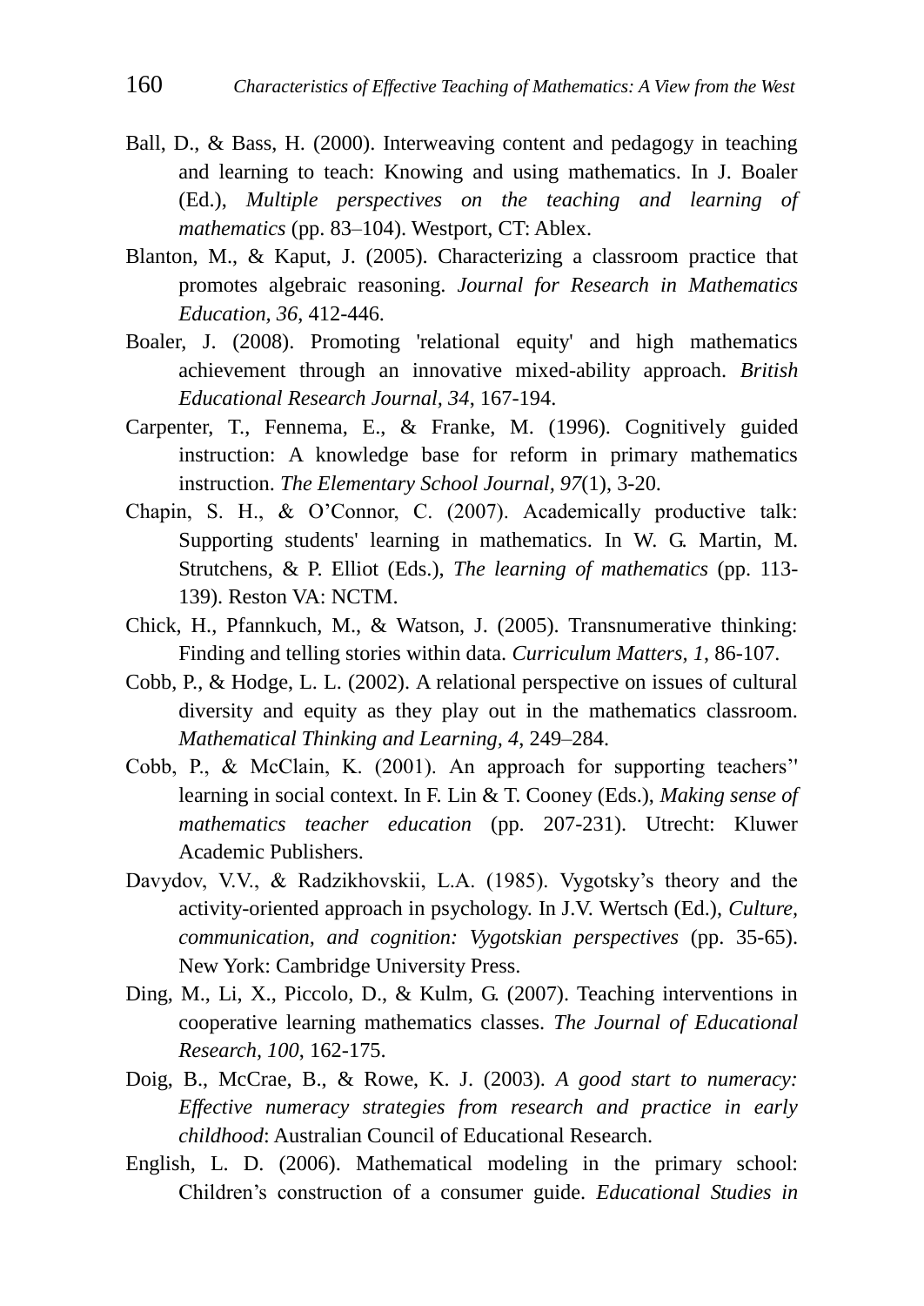- Ball, D., & Bass, H. (2000). Interweaving content and pedagogy in teaching and learning to teach: Knowing and using mathematics. In J. Boaler (Ed.), *Multiple perspectives on the teaching and learning of mathematics* (pp. 83–104). Westport, CT: Ablex.
- Blanton, M., & Kaput, J. (2005). Characterizing a classroom practice that promotes algebraic reasoning. *Journal for Research in Mathematics Education, 36*, 412-446.
- Boaler, J. (2008). Promoting 'relational equity' and high mathematics achievement through an innovative mixed-ability approach. *British Educational Research Journal, 34*, 167-194.
- Carpenter, T., Fennema, E., & Franke, M. (1996). Cognitively guided instruction: A knowledge base for reform in primary mathematics instruction. *The Elementary School Journal, 97*(1), 3-20.
- Chapin, S. H., & O'Connor, C. (2007). Academically productive talk: Supporting students' learning in mathematics. In W. G. Martin, M. Strutchens, & P. Elliot (Eds.), *The learning of mathematics* (pp. 113- 139). Reston VA: NCTM.
- Chick, H., Pfannkuch, M., & Watson, J. (2005). Transnumerative thinking: Finding and telling stories within data. *Curriculum Matters, 1*, 86-107.
- Cobb, P., & Hodge, L. L. (2002). A relational perspective on issues of cultural diversity and equity as they play out in the mathematics classroom. *Mathematical Thinking and Learning, 4*, 249–284.
- Cobb, P., & McClain, K. (2001). An approach for supporting teachers'' learning in social context. In F. Lin & T. Cooney (Eds.), *Making sense of mathematics teacher education* (pp. 207-231). Utrecht: Kluwer Academic Publishers.
- Davydov, V.V., & Radzikhovskii, L.A. (1985). Vygotsky's theory and the activity-oriented approach in psychology. In J.V. Wertsch (Ed.), *Culture, communication, and cognition: Vygotskian perspectives* (pp. 35-65). New York: Cambridge University Press.
- Ding, M., Li, X., Piccolo, D., & Kulm, G. (2007). Teaching interventions in cooperative learning mathematics classes. *The Journal of Educational Research, 100*, 162-175.
- Doig, B., McCrae, B., & Rowe, K. J. (2003). *A good start to numeracy: Effective numeracy strategies from research and practice in early childhood*: Australian Council of Educational Research.
- English, L. D. (2006). Mathematical modeling in the primary school: Children's construction of a consumer guide. *Educational Studies in*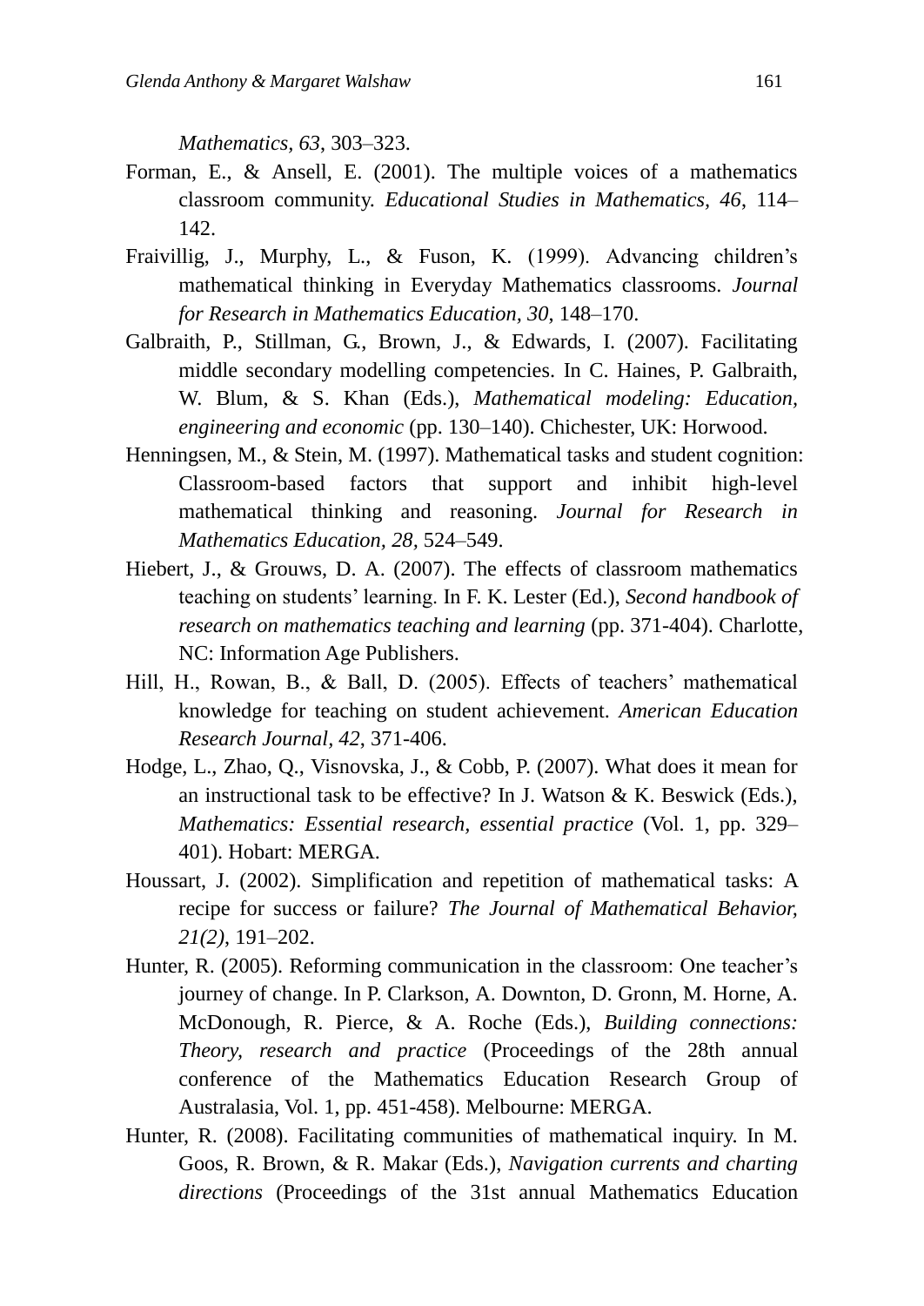*Mathematics, 63*, 303–323.

- Forman, E., & Ansell, E. (2001). The multiple voices of a mathematics classroom community. *Educational Studies in Mathematics, 46*, 114– 142.
- Fraivillig, J., Murphy, L., & Fuson, K. (1999). Advancing children's mathematical thinking in Everyday Mathematics classrooms. *Journal for Research in Mathematics Education, 30*, 148–170.
- Galbraith, P., Stillman, G., Brown, J., & Edwards, I. (2007). Facilitating middle secondary modelling competencies. In C. Haines, P. Galbraith, W. Blum, & S. Khan (Eds.), *Mathematical modeling: Education, engineering and economic* (pp. 130–140). Chichester, UK: Horwood.
- Henningsen, M., & Stein, M. (1997). Mathematical tasks and student cognition: Classroom-based factors that support and inhibit high-level mathematical thinking and reasoning. *Journal for Research in Mathematics Education, 28,* 524–549.
- Hiebert, J., & Grouws, D. A. (2007). The effects of classroom mathematics teaching on students' learning. In F. K. Lester (Ed.), *Second handbook of research on mathematics teaching and learning* (pp. 371-404). Charlotte, NC: Information Age Publishers.
- Hill, H., Rowan, B., & Ball, D. (2005). Effects of teachers' mathematical knowledge for teaching on student achievement. *American Education Research Journal, 42*, 371-406.
- Hodge, L., Zhao, Q., Visnovska, J., & Cobb, P. (2007). What does it mean for an instructional task to be effective? In J. Watson & K. Beswick (Eds.), *Mathematics: Essential research, essential practice* (Vol. 1, pp. 329– 401). Hobart: MERGA.
- Houssart, J. (2002). Simplification and repetition of mathematical tasks: A recipe for success or failure? *The Journal of Mathematical Behavior, 21(2)*, 191–202.
- Hunter, R. (2005). Reforming communication in the classroom: One teacher's journey of change. In P. Clarkson, A. Downton, D. Gronn, M. Horne, A. McDonough, R. Pierce, & A. Roche (Eds.), *Building connections: Theory, research and practice* (Proceedings of the 28th annual conference of the Mathematics Education Research Group of Australasia, Vol. 1, pp. 451-458). Melbourne: MERGA.
- Hunter, R. (2008). Facilitating communities of mathematical inquiry. In M. Goos, R. Brown, & R. Makar (Eds.), *Navigation currents and charting directions* (Proceedings of the 31st annual Mathematics Education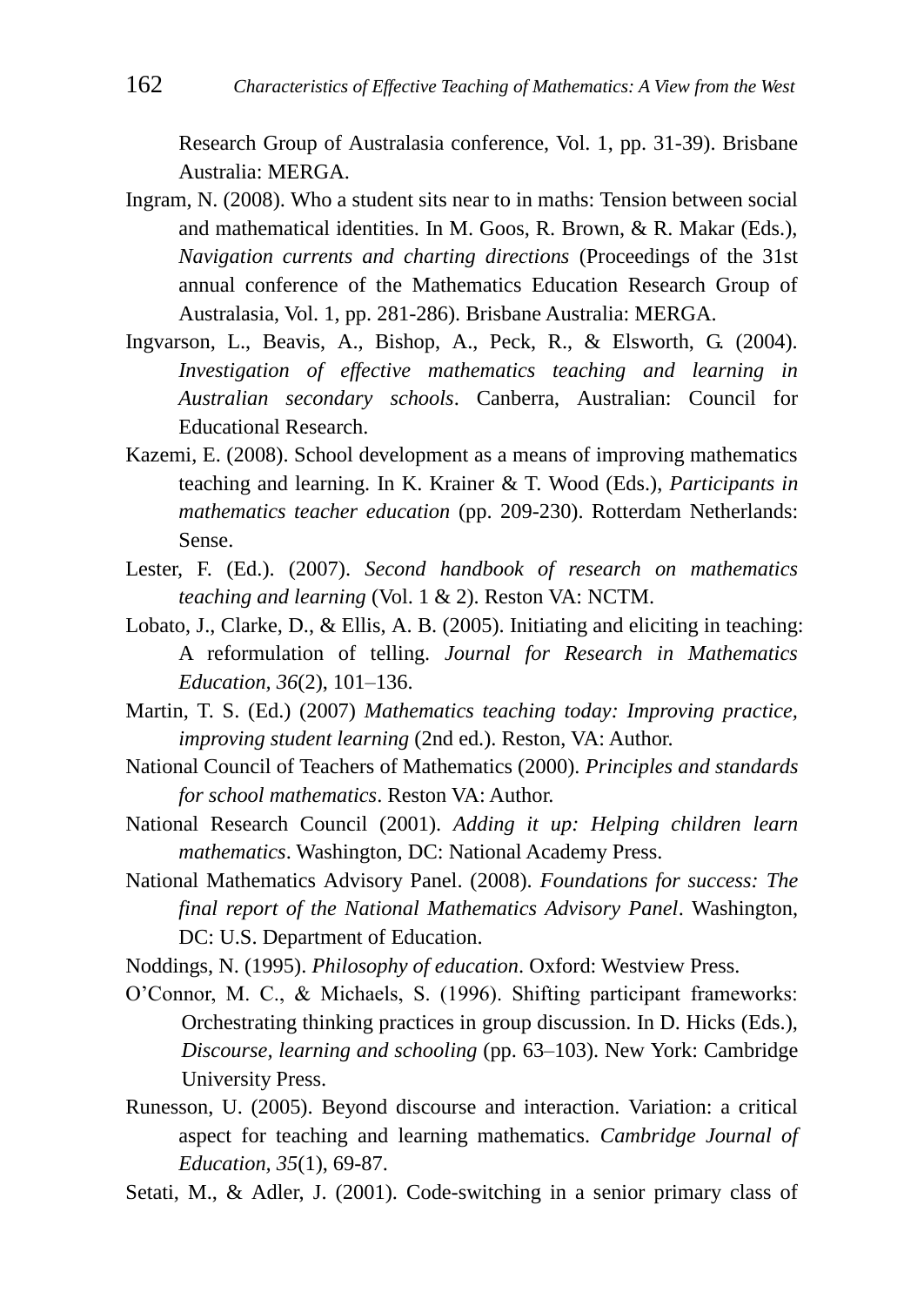Research Group of Australasia conference, Vol. 1, pp. 31-39). Brisbane Australia: MERGA.

- Ingram, N. (2008). Who a student sits near to in maths: Tension between social and mathematical identities. In M. Goos, R. Brown, & R. Makar (Eds.), *Navigation currents and charting directions* (Proceedings of the 31st annual conference of the Mathematics Education Research Group of Australasia, Vol. 1, pp. 281-286). Brisbane Australia: MERGA.
- Ingvarson, L., Beavis, A., Bishop, A., Peck, R., & Elsworth, G. (2004). *Investigation of effective mathematics teaching and learning in Australian secondary schools*. Canberra, Australian: Council for Educational Research.
- Kazemi, E. (2008). School development as a means of improving mathematics teaching and learning. In K. Krainer & T. Wood (Eds.), *Participants in mathematics teacher education* (pp. 209-230). Rotterdam Netherlands: Sense.
- Lester, F. (Ed.). (2007). *Second handbook of research on mathematics teaching and learning* (Vol. 1 & 2). Reston VA: NCTM.
- Lobato, J., Clarke, D., & Ellis, A. B. (2005). Initiating and eliciting in teaching: A reformulation of telling. *Journal for Research in Mathematics Education, 36*(2), 101–136.
- Martin, T. S. (Ed.) (2007) *Mathematics teaching today: Improving practice, improving student learning* (2nd ed.). Reston, VA: Author.
- National Council of Teachers of Mathematics (2000). *Principles and standards for school mathematics*. Reston VA: Author.
- National Research Council (2001). *Adding it up: Helping children learn mathematics*. Washington, DC: National Academy Press.
- National Mathematics Advisory Panel. (2008). *Foundations for success: The final report of the National Mathematics Advisory Panel*. Washington, DC: U.S. Department of Education.

Noddings, N. (1995). *Philosophy of education*. Oxford: Westview Press.

- O'Connor, M. C., & Michaels, S. (1996). Shifting participant frameworks: Orchestrating thinking practices in group discussion. In D. Hicks (Eds.), *Discourse, learning and schooling* (pp. 63–103). New York: Cambridge University Press.
- Runesson, U. (2005). Beyond discourse and interaction. Variation: a critical aspect for teaching and learning mathematics. *Cambridge Journal of Education, 35*(1), 69-87.
- Setati, M., & Adler, J. (2001). Code-switching in a senior primary class of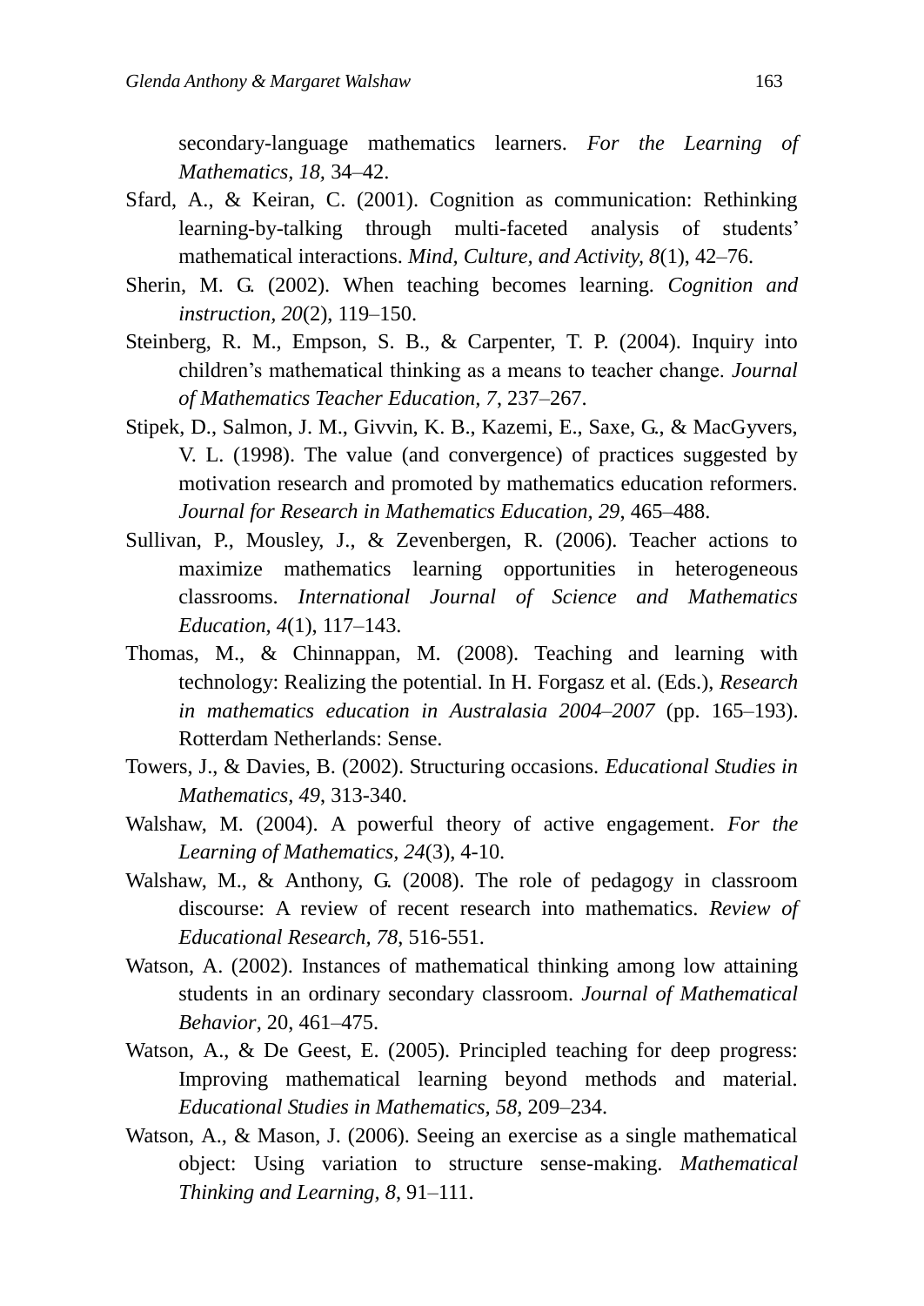secondary-language mathematics learners. *For the Learning of Mathematics, 18,* 34–42.

- Sfard, A., & Keiran, C. (2001). Cognition as communication: Rethinking learning-by-talking through multi-faceted analysis of students' mathematical interactions. *Mind, Culture, and Activity, 8*(1), 42–76.
- Sherin, M. G. (2002). When teaching becomes learning. *Cognition and instruction, 20*(2), 119–150.
- Steinberg, R. M., Empson, S. B., & Carpenter, T. P. (2004). Inquiry into children's mathematical thinking as a means to teacher change. *Journal of Mathematics Teacher Education, 7*, 237–267.
- Stipek, D., Salmon, J. M., Givvin, K. B., Kazemi, E., Saxe, G., & MacGyvers, V. L. (1998). The value (and convergence) of practices suggested by motivation research and promoted by mathematics education reformers. *Journal for Research in Mathematics Education, 29*, 465–488.
- Sullivan, P., Mousley, J., & Zevenbergen, R. (2006). Teacher actions to maximize mathematics learning opportunities in heterogeneous classrooms. *International Journal of Science and Mathematics Education, 4*(1), 117–143.
- Thomas, M., & Chinnappan, M. (2008). Teaching and learning with technology: Realizing the potential. In H. Forgasz et al. (Eds.), *Research in mathematics education in Australasia 2004–2007* (pp. 165–193). Rotterdam Netherlands: Sense.
- Towers, J., & Davies, B. (2002). Structuring occasions. *Educational Studies in Mathematics, 49*, 313-340.
- Walshaw, M. (2004). A powerful theory of active engagement. *For the Learning of Mathematics, 24*(3), 4-10.
- Walshaw, M., & Anthony, G. (2008). The role of pedagogy in classroom discourse: A review of recent research into mathematics. *Review of Educational Research, 78*, 516-551.
- Watson, A. (2002). Instances of mathematical thinking among low attaining students in an ordinary secondary classroom. *Journal of Mathematical Behavior*, 20, 461–475.
- Watson, A., & De Geest, E. (2005). Principled teaching for deep progress: Improving mathematical learning beyond methods and material. *Educational Studies in Mathematics, 58*, 209–234.
- Watson, A., & Mason, J. (2006). Seeing an exercise as a single mathematical object: Using variation to structure sense-making. *Mathematical Thinking and Learning, 8*, 91–111.